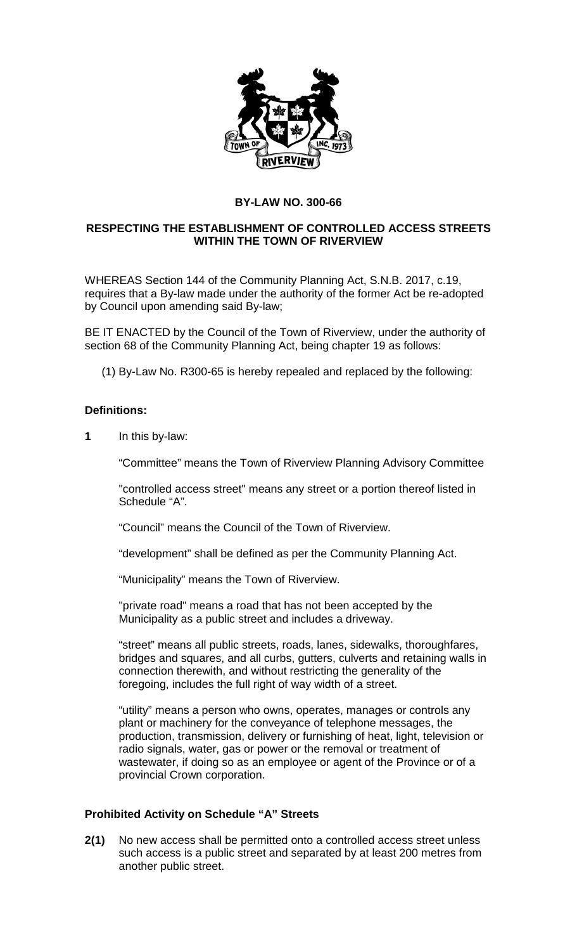

## **BY-LAW NO. 300-66**

## **RESPECTING THE ESTABLISHMENT OF CONTROLLED ACCESS STREETS WITHIN THE TOWN OF RIVERVIEW**

WHEREAS Section 144 of the Community Planning Act, S.N.B. 2017, c.19, requires that a By-law made under the authority of the former Act be re-adopted by Council upon amending said By-law;

BE IT ENACTED by the Council of the Town of Riverview, under the authority of section 68 of the Community Planning Act, being chapter 19 as follows:

(1) By-Law No. R300-65 is hereby repealed and replaced by the following:

#### **Definitions:**

**1** In this by-law:

"Committee" means the Town of Riverview Planning Advisory Committee

"controlled access street" means any street or a portion thereof listed in Schedule "A".

"Council" means the Council of the Town of Riverview.

"development" shall be defined as per the Community Planning Act.

"Municipality" means the Town of Riverview.

"private road" means a road that has not been accepted by the Municipality as a public street and includes a driveway.

"street" means all public streets, roads, lanes, sidewalks, thoroughfares, bridges and squares, and all curbs, gutters, culverts and retaining walls in connection therewith, and without restricting the generality of the foregoing, includes the full right of way width of a street.

"utility" means a person who owns, operates, manages or controls any plant or machinery for the conveyance of telephone messages, the production, transmission, delivery or furnishing of heat, light, television or radio signals, water, gas or power or the removal or treatment of wastewater, if doing so as an employee or agent of the Province or of a provincial Crown corporation.

## **Prohibited Activity on Schedule "A" Streets**

**2(1)** No new access shall be permitted onto a controlled access street unless such access is a public street and separated by at least 200 metres from another public street.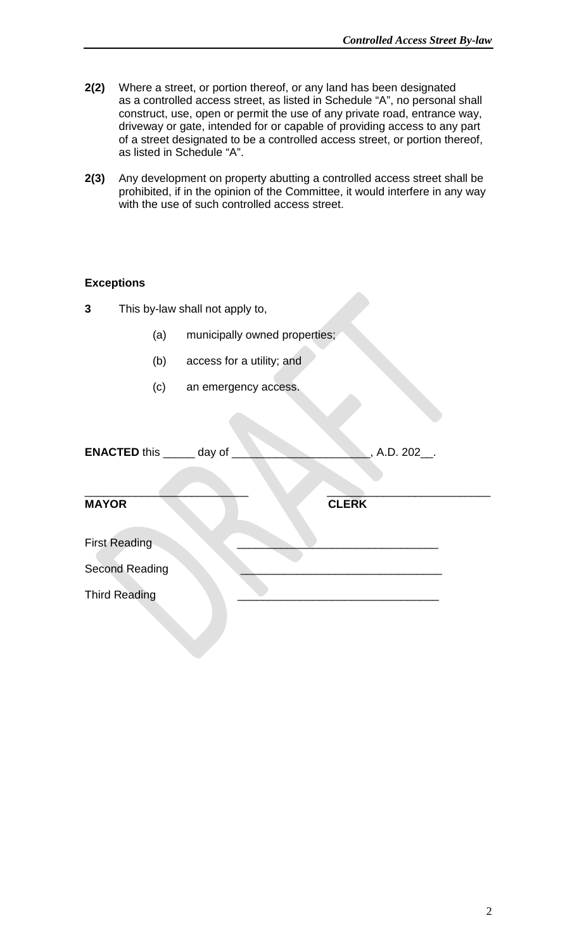- **2(2)** Where a street, or portion thereof, or any land has been designated as a controlled access street, as listed in Schedule "A", no personal shall construct, use, open or permit the use of any private road, entrance way, driveway or gate, intended for or capable of providing access to any part of a street designated to be a controlled access street, or portion thereof, as listed in Schedule "A".
- **2(3)** Any development on property abutting a controlled access street shall be prohibited, if in the opinion of the Committee, it would interfere in any way with the use of such controlled access street.

#### **Exceptions**

| This by-law shall not apply to,<br>3               |     |                               |
|----------------------------------------------------|-----|-------------------------------|
|                                                    | (a) | municipally owned properties; |
|                                                    | (b) | access for a utility; and     |
|                                                    | (c) | an emergency access.          |
| <b>ENACTED this _____ day of</b><br>, A.D. 202___. |     |                               |
| <b>MAYOR</b>                                       |     | <b>CLERK</b>                  |
| <b>First Reading</b>                               |     |                               |
| <b>Second Reading</b>                              |     |                               |
| <b>Third Reading</b>                               |     |                               |